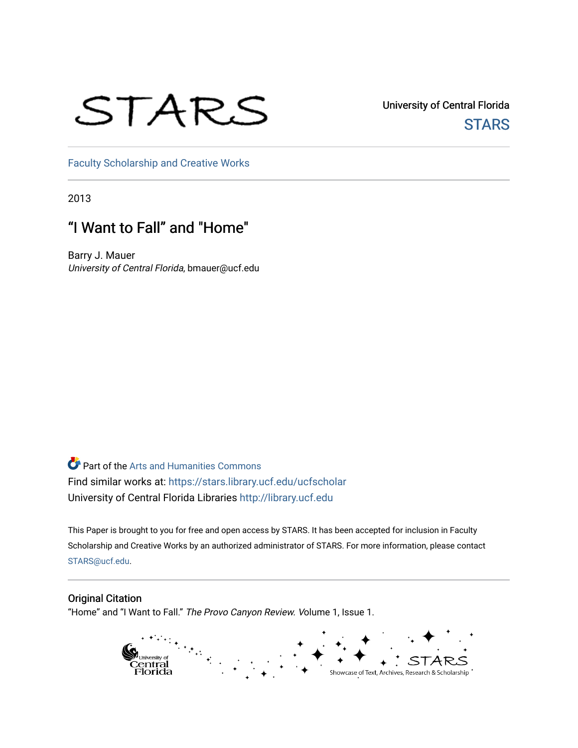# STARS

University of Central Florida **STARS** 

[Faculty Scholarship and Creative Works](https://stars.library.ucf.edu/ucfscholar) 

2013

## "I Want to Fall" and "Home"

Barry J. Mauer University of Central Florida, bmauer@ucf.edu

Part of the [Arts and Humanities Commons](http://network.bepress.com/hgg/discipline/438?utm_source=stars.library.ucf.edu%2Fucfscholar%2F606&utm_medium=PDF&utm_campaign=PDFCoverPages)  Find similar works at: <https://stars.library.ucf.edu/ucfscholar> University of Central Florida Libraries [http://library.ucf.edu](http://library.ucf.edu/) 

This Paper is brought to you for free and open access by STARS. It has been accepted for inclusion in Faculty Scholarship and Creative Works by an authorized administrator of STARS. For more information, please contact [STARS@ucf.edu](mailto:STARS@ucf.edu).

### Original Citation

"Home" and "I Want to Fall." The Provo Canyon Review. Volume 1, Issue 1.

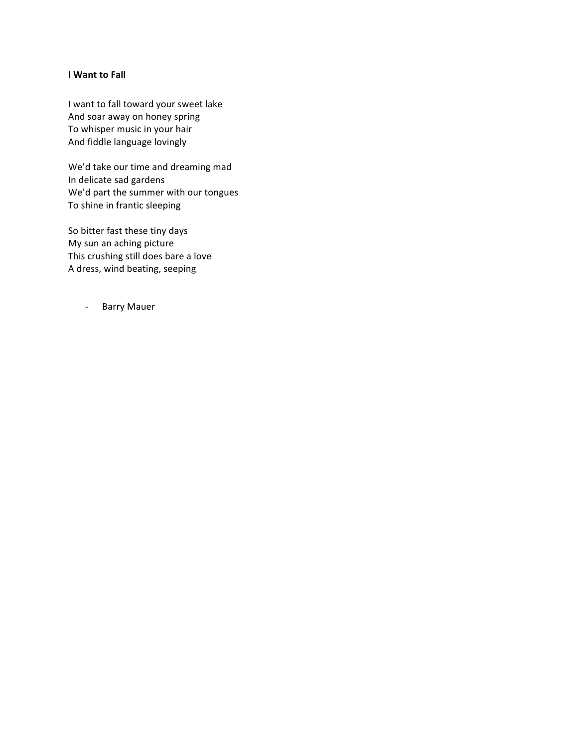#### **I** Want to Fall

I want to fall toward your sweet lake And soar away on honey spring To whisper music in your hair And fiddle language lovingly

We'd take our time and dreaming mad In delicate sad gardens We'd part the summer with our tongues To shine in frantic sleeping

So bitter fast these tiny days My sun an aching picture This crushing still does bare a love A dress, wind beating, seeping

- Barry Mauer